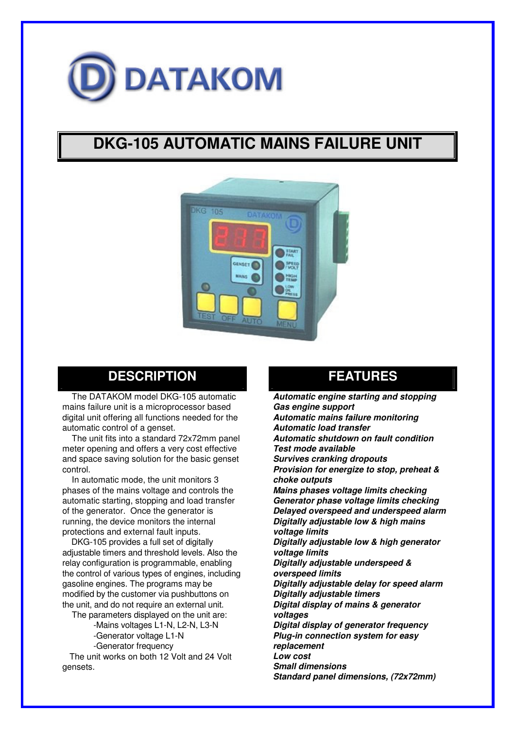

# **DKG-105 AUTOMATIC MAINS FAILURE UNIT**



### **DESCRIPTION**

The DATAKOM model DKG-105 automatic mains failure unit is a microprocessor based digital unit offering all functions needed for the automatic control of a genset.

The unit fits into a standard 72x72mm panel meter opening and offers a very cost effective and space saving solution for the basic genset control.

In automatic mode, the unit monitors 3 phases of the mains voltage and controls the automatic starting, stopping and load transfer of the generator. Once the generator is running, the device monitors the internal protections and external fault inputs.

DKG-105 provides a full set of digitally adjustable timers and threshold levels. Also the relay configuration is programmable, enabling the control of various types of engines, including gasoline engines. The programs may be modified by the customer via pushbuttons on the unit, and do not require an external unit.

The parameters displayed on the unit are:

-Mains voltages L1-N, L2-N, L3-N

-Generator voltage L1-N

-Generator frequency

The unit works on both 12 Volt and 24 Volt gensets.

### **FEATURES**

*Automatic engine starting and stopping Gas engine support Automatic mains failure monitoring Automatic load transfer Automatic shutdown on fault condition Test mode available Survives cranking dropouts Provision for energize to stop, preheat & choke outputs Mains phases voltage limits checking Generator phase voltage limits checking Delayed overspeed and underspeed alarm Digitally adjustable low & high mains voltage limits Digitally adjustable low & high generator voltage limits Digitally adjustable underspeed & overspeed limits Digitally adjustable delay for speed alarm Digitally adjustable timers Digital display of mains & generator voltages Digital display of generator frequency Plug-in connection system for easy replacement Low cost Small dimensions Standard panel dimensions, (72x72mm)*